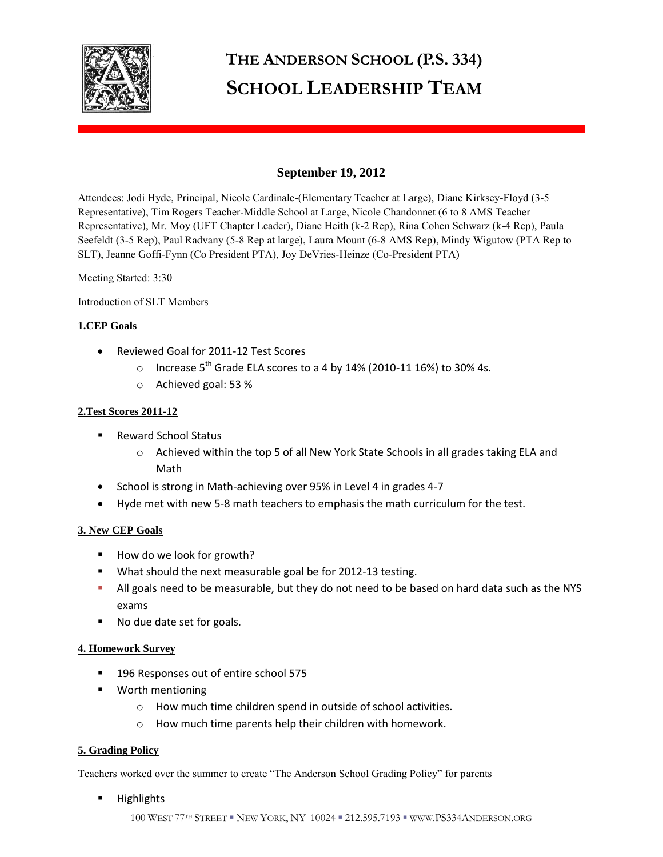

# **THE ANDERSON SCHOOL (P.S. 334) SCHOOL LEADERSHIP TEAM**

## **September 19, 2012**

Attendees: Jodi Hyde, Principal, Nicole Cardinale-(Elementary Teacher at Large), Diane Kirksey-Floyd (3-5 Representative), Tim Rogers Teacher-Middle School at Large, Nicole Chandonnet (6 to 8 AMS Teacher Representative), Mr. Moy (UFT Chapter Leader), Diane Heith (k-2 Rep), Rina Cohen Schwarz (k-4 Rep), Paula Seefeldt (3-5 Rep), Paul Radvany (5-8 Rep at large), Laura Mount (6-8 AMS Rep), Mindy Wigutow (PTA Rep to SLT), Jeanne Goffi-Fynn (Co President PTA), Joy DeVries-Heinze (Co-President PTA)

Meeting Started: 3:30

Introduction of SLT Members

## **1.CEP Goals**

- Reviewed Goal for 2011-12 Test Scores
	- o Increase 5<sup>th</sup> Grade ELA scores to a 4 by 14% (2010-11 16%) to 30% 4s.
	- o Achieved goal: 53 %

## **2.Test Scores 2011-12**

- Reward School Status
	- o Achieved within the top 5 of all New York State Schools in all grades taking ELA and Math
- School is strong in Math-achieving over 95% in Level 4 in grades 4-7
- Hyde met with new 5-8 math teachers to emphasis the math curriculum for the test.

## **3. New CEP Goals**

- How do we look for growth?
- **What should the next measurable goal be for 2012-13 testing.**
- All goals need to be measurable, but they do not need to be based on hard data such as the NYS exams
- No due date set for goals.

## **4. Homework Survey**

- <sup>1</sup> 196 Responses out of entire school 575
- **Worth mentioning** 
	- o How much time children spend in outside of school activities.
	- o How much time parents help their children with homework.

## **5. Grading Policy**

Teachers worked over the summer to create "The Anderson School Grading Policy" for parents

**Highlights**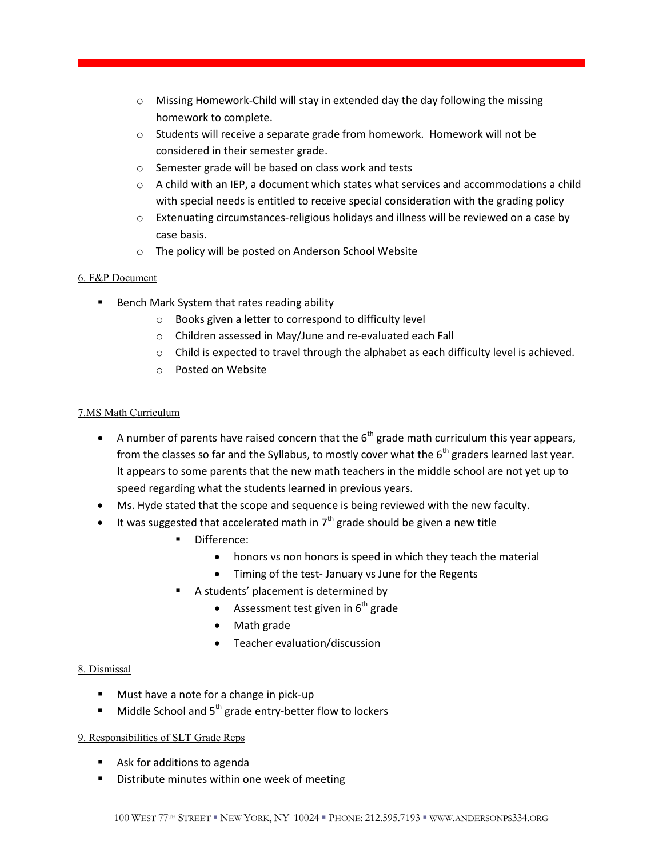- o Missing Homework-Child will stay in extended day the day following the missing homework to complete.
- o Students will receive a separate grade from homework. Homework will not be considered in their semester grade.
- o Semester grade will be based on class work and tests
- $\circ$  A child with an IEP, a document which states what services and accommodations a child with special needs is entitled to receive special consideration with the grading policy
- o Extenuating circumstances-religious holidays and illness will be reviewed on a case by case basis.
- o The policy will be posted on Anderson School Website

## 6. F&P Document

- **Bench Mark System that rates reading ability** 
	- o Books given a letter to correspond to difficulty level
	- o Children assessed in May/June and re-evaluated each Fall
	- $\circ$  Child is expected to travel through the alphabet as each difficulty level is achieved.
	- o Posted on Website

## 7.MS Math Curriculum

- A number of parents have raised concern that the  $6<sup>th</sup>$  grade math curriculum this year appears, from the classes so far and the Syllabus, to mostly cover what the  $6<sup>th</sup>$  graders learned last year. It appears to some parents that the new math teachers in the middle school are not yet up to speed regarding what the students learned in previous years.
- Ms. Hyde stated that the scope and sequence is being reviewed with the new faculty.
- It was suggested that accelerated math in  $7<sup>th</sup>$  grade should be given a new title
	- Difference:
		- honors vs non honors is speed in which they teach the material
		- Timing of the test- January vs June for the Regents
	- A students' placement is determined by
		- Assessment test given in  $6<sup>th</sup>$  grade
		- Math grade
		- Teacher evaluation/discussion

#### 8. Dismissal

- **Must have a note for a change in pick-up**
- $\blacksquare$  Middle School and  $5^{th}$  grade entry-better flow to lockers

## 9. Responsibilities of SLT Grade Reps

- **Ask for additions to agenda**
- **Distribute minutes within one week of meeting**